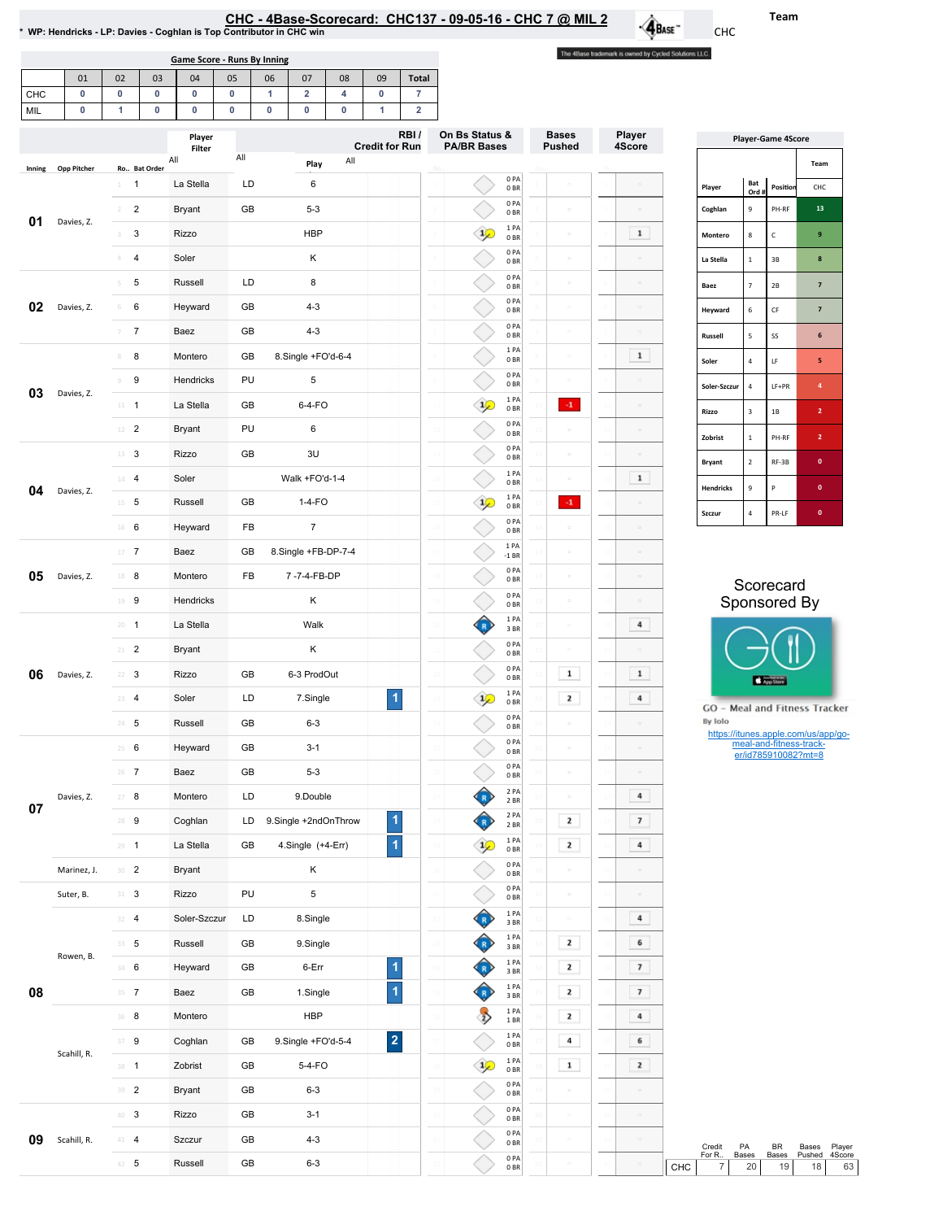EHC-4Base-Scorecard: CHC137 - 09-05-16 - CHC 7 @ MIL 2<br>\* WP: Hendricks - LP: Davies - Coghlan is Top Contributor in CHC win

CHC

| Game Score - Runs By Inning |  |  |    |    |    |  |    |  |      |  |  |  |
|-----------------------------|--|--|----|----|----|--|----|--|------|--|--|--|
|                             |  |  | 04 | 05 | 06 |  | Uŏ |  | otal |  |  |  |

0 0 0 0 0 1 2 4 0 7

| MIL    | 0                  | 1                            | 0                       | 0                | 0          | 0 | 0                    | 0   | 1                       | $\overline{\mathbf{2}}$ |                                      |                                                                      |                               |                          |     |
|--------|--------------------|------------------------------|-------------------------|------------------|------------|---|----------------------|-----|-------------------------|-------------------------|--------------------------------------|----------------------------------------------------------------------|-------------------------------|--------------------------|-----|
|        |                    |                              |                         | Player<br>Filter |            |   |                      |     | <b>Credit for Run</b>   | RBI/                    | On Bs Status &<br><b>PA/BR Bases</b> |                                                                      | <b>Bases</b><br><b>Pushed</b> | Player<br>4Score         |     |
| Inning | <b>Opp Pitcher</b> |                              | Ro Bat Order            | All              | All        |   | Play                 | All |                         |                         |                                      |                                                                      |                               |                          |     |
|        |                    | $\perp$                      | 1                       | La Stella        | LD         |   | 6                    |     |                         |                         |                                      | 0PA<br>0 <sub>BR</sub>                                               | $\Box$                        |                          |     |
| 01     | Davies, Z.         | $\overline{2}$               | $\sqrt{2}$              | <b>Bryant</b>    | GB         |   | $5 - 3$              |     |                         |                         |                                      | 0PA<br>0BR                                                           | $\Box$                        |                          |     |
|        |                    | 3                            | 3                       | Rizzo            |            |   | <b>HBP</b>           |     |                         |                         | $\frac{1}{2}$                        | 1PA<br>0 <sub>BR</sub>                                               | $\Box$                        | ${\bf 1}$                |     |
|        |                    | 4                            | $\overline{4}$          | Soler            |            |   | Κ                    |     |                         |                         |                                      | 0PA<br>0 <sub>BR</sub>                                               | $\equiv$                      |                          |     |
|        |                    | 5                            | 5                       | Russell          | LD         |   | 8                    |     |                         |                         |                                      | 0PA<br>0BR                                                           | $\Box$                        |                          |     |
| 02     | Davies, Z.         | 6                            | 6                       | Heyward          | GB         |   | $4 - 3$              |     |                         |                         |                                      | 0PA<br>0 <sub>BR</sub>                                               | $\Box$                        | $\equiv$                 |     |
|        |                    | $\overline{\mathcal{I}}$     | $\overline{7}$          | Baez             | GB         |   | $4 - 3$              |     |                         |                         |                                      | 0PA<br>0BR                                                           | $\Box$                        | $\Box$                   |     |
|        |                    | 8                            | 8                       | Montero          | GB         |   | 8.Single +FO'd-6-4   |     |                         |                         |                                      | 1 PA<br>0 <sub>BR</sub>                                              | $\Box$                        | ${\bf 1}$                |     |
|        |                    | $\circledcirc$               | 9                       | Hendricks        | PU         |   | 5                    |     |                         |                         |                                      | 0PA<br>0 <sub>BR</sub>                                               | $\Box$                        |                          |     |
| 03     | Davies, Z.         | $11 - 1$                     |                         | La Stella        | GB         |   | 6-4-FO               |     |                         |                         | $\frac{1}{2}$                        | 1PA<br>0 <sub>BR</sub>                                               | $\cdot 1$                     | $\Box$                   |     |
|        |                    | 12                           | $\sqrt{2}$              | Bryant           | PU         |   | 6                    |     |                         |                         |                                      | 0PA<br>0 <sub>BR</sub>                                               |                               |                          |     |
|        |                    | 13                           | 3                       | <b>Rizzo</b>     | GB         |   | 3U                   |     |                         |                         |                                      | 0PA<br>0 <sub>BR</sub>                                               | $\equiv$                      |                          |     |
|        |                    | 14 4                         |                         | Soler            |            |   | Walk +FO'd-1-4       |     |                         |                         |                                      | 1PA                                                                  | $\alpha$                      | $\mathbf{1}$             |     |
| 04     | Davies, Z.         | 15                           | 5                       | Russell          | GB         |   | $1-4-FO$             |     |                         |                         | $\frac{1}{2}$                        | 0 <sub>BR</sub><br>1PA                                               | $\cdot 1$                     |                          |     |
|        |                    |                              |                         |                  |            |   | $\boldsymbol{7}$     |     |                         |                         |                                      | 0 <sub>BR</sub><br>0PA                                               |                               |                          |     |
|        |                    | 16 6                         |                         | Heyward          | FB         |   |                      |     |                         |                         |                                      | 0 <sub>BR</sub><br>1 PA                                              |                               |                          |     |
| 05     |                    | $17 - 7$                     |                         | Baez             | GB         |   | 8.Single +FB-DP-7-4  |     |                         |                         |                                      | $-1$ BR<br>0PA                                                       | $\Box$                        | $\Box$                   |     |
|        | Davies, Z.         | 18                           | 8                       | Montero          | FB         |   | 7-7-4-FB-DP          |     |                         |                         |                                      | 0 <sub>BR</sub><br>0PA                                               | $\equiv$                      | $\equiv$                 |     |
|        |                    | 19 9                         |                         | Hendricks        |            |   | Κ                    |     |                         |                         |                                      | 0 <sub>BR</sub><br>1PA                                               | $\Box$                        |                          |     |
|        |                    | 20                           | $\mathbf{1}$            | La Stella        |            |   | Walk                 |     |                         |                         |                                      | 3BR                                                                  | $\Box$                        | 4                        |     |
|        |                    | 21                           | $\overline{\mathbf{c}}$ | Bryant           |            |   | κ                    |     |                         |                         |                                      | 0PA<br>0 <sub>BR</sub>                                               | $\Box$                        | $\Box$                   |     |
| 06     | Davies, Z.         | 22                           | 3                       | Rizzo            | GB         |   | 6-3 ProdOut          |     |                         |                         |                                      | 0PA<br>0 <sub>BR</sub>                                               | $\mathbf{1}$                  | $\mathbf 1$              |     |
|        |                    | 23                           | $\overline{\mathbf{4}}$ | Soler            | LD         |   | 7.Single             |     | $\blacktriangleleft$    |                         | $\frac{1}{2}$                        | 1PA<br>0 <sub>BR</sub>                                               | $\mathbf{z}$                  | 4                        |     |
|        |                    | 24                           | 5                       | Russell          | GB         |   | $6 - 3$              |     |                         |                         |                                      | 0PA<br>0 <sub>BR</sub>                                               | $\Box$                        | $\Box$                   |     |
|        |                    | 25                           | 6                       | Heyward          | GB         |   | $3 - 1$              |     |                         |                         |                                      | 0PA<br>0 <sub>BR</sub>                                               | $\alpha$                      | $\Box$                   |     |
|        |                    | $26$ 7                       |                         | Baez             | GB         |   | $5 - 3$              |     |                         |                         |                                      | 0PA<br>0 <sub>BR</sub>                                               | o                             | $\Box$                   |     |
|        | Davies, Z.         | 27                           | 8                       | Montero          | LD.        |   | 9.Double             |     |                         |                         |                                      | 2 PA<br>2 BR                                                         |                               | 4                        |     |
| 07     |                    | $28$ 9                       |                         | Coghlan          | LD         |   | 9.Single +2ndOnThrow |     | $\overline{\mathbf{1}}$ |                         |                                      | 2 PA<br>2 BR                                                         | $\mathbf{z}$                  | $\overline{\phantom{a}}$ |     |
|        |                    | $29 - 1$                     |                         | La Stella        | GB         |   | 4.Single (+4-Err)    |     | $\blacktriangleleft$    |                         |                                      | 1PA<br>0 <sub>BR</sub>                                               | $\mathbf{z}$                  | 4                        |     |
|        | Marinez, J.        | $30-2$                       |                         | Bryant           |            |   | Κ                    |     |                         |                         |                                      | 0PA<br>0 <sub>BR</sub>                                               |                               |                          |     |
|        | Suter, B.          | $31 \quad 3$                 |                         | Rizzo            | PU         |   | 5                    |     |                         |                         |                                      | 0PA<br>0B                                                            | $\equiv$                      | $\Box$                   |     |
|        |                    | 32                           | $\overline{4}$          | Soler-Szczur     | LD         |   | 8.Single             |     |                         |                         |                                      | 1 PA                                                                 | $\hfill \square$              | 4                        |     |
|        |                    | $33 - 5$                     |                         | Russell          | GB         |   | 9.Single             |     |                         |                         | R                                    | 3BR<br>1PA                                                           | $\mathbf{z}$                  | 6                        |     |
|        | Rowen, B.          | 34 6                         |                         | Heyward          | GB         |   | 6-Err                |     | $\overline{\mathbf{1}}$ |                         |                                      | 3BR<br>$\begin{array}{c} 1 \ \text{PA} \\ 3 \ \text{BR} \end{array}$ | $\mathbf{z}$                  | $\overline{\phantom{a}}$ |     |
| 08     |                    | $35 \t 7$                    |                         | Baez             | GB         |   | 1.Single             |     | $\overline{1}$          |                         |                                      | 1PA                                                                  | $\mathbf{2}$                  | $\scriptstyle\rm 7$      |     |
|        |                    |                              |                         |                  |            |   |                      |     |                         |                         |                                      | 3BR<br>1PA                                                           |                               |                          |     |
|        |                    | $36 - 8$                     |                         | Montero          |            |   | HBP                  |     |                         |                         | $\rightarrow$                        | 1BR<br>1PA                                                           | $\mathbf{z}$                  | 4                        |     |
|        | Scahill, R.        | $37 - 9$                     |                         | Coghlan          | GB         |   | 9.Single +FO'd-5-4   |     | $\overline{\mathbf{2}}$ |                         |                                      | 0 <sub>BR</sub><br>1PA                                               | 4                             | 6                        |     |
|        |                    | 38 1                         |                         | Zobrist          | GB         |   | 5-4-FO               |     |                         |                         | $\frac{1}{2}$                        | 0 <sub>BR</sub><br>0PA                                               | $\mathbf 1$                   | $\mathbf{z}$             |     |
|        |                    | 39 2                         |                         | Bryant           | GB         |   | $6 - 3$              |     |                         |                         |                                      | 0 <sub>BR</sub>                                                      | $\hfill \square$              |                          |     |
|        |                    | $\textup{40}$ – $\textup{3}$ |                         | Rizzo            | GB         |   | $3 - 1$              |     |                         |                         |                                      | 0PA<br>0 <sub>BR</sub>                                               | $\Box$                        | $\Box$                   |     |
| 09     | Scahill, R.        | $41 - 4$                     |                         | Szczur           | GB         |   | $4 - 3$              |     |                         |                         |                                      | 0PA<br>0 <sub>BR</sub>                                               | $\Box$                        | $\bar{\Xi}$              |     |
|        |                    | $42 - 5$                     |                         | Russell          | ${\sf GB}$ |   | $6 - 3$              |     |                         |                         |                                      | 0PA<br>0B                                                            | $\Box$                        |                          | CHC |

Team

CHC

The 4Base trademark is owned by Cycled Solutions LLC.

 $\cdot \mathbf{A}_{\text{Base}}$ 

ayer Bat Ord Positi Team CHC  $p$ ghlan 9 PH-RF ontero  $8 \mid c$ Stella  $\begin{vmatrix} 1 & 3B \end{vmatrix}$  $\begin{array}{c|c|c|c|c} \n 1 & 2 & 2 & 2 \n \end{array}$ eyward  $6$  CF  $\begin{array}{c|c|c|c|c} \n\hline\n\text{ssell} & & 5 & \text{ss} \n\end{array}$  $\begin{array}{|c|c|c|c|}\n\hline\n\end{array}$  4 LF Soler-Szczur 4 LF+PR zzo  $3 \mid 1B$  $\overline{\text{b}}$ rist  $\left| \begin{array}{ccc} 1 & \text{pH-RF} \end{array} \right|$  $\sqrt{9}$ ant 2 RF-3B endricks 9 P czur 4 PR-LF 13 9 8 7 7 6 5 Player-Game 4Score

#### Scorecard Sponsored By



**CO** - Meal and Fitness Tracker y lolo

https://itunes.apple.com/us/app/go-meal-and-fitness-track-er/id785910082?mt=8

Credit ForR.. Credit PA BR Bases Player<br>
For R... Bases Bases Pushed 4Score<br>
CHC 7 20 19 18 63 BR Bases Bases Pushed Player 4Score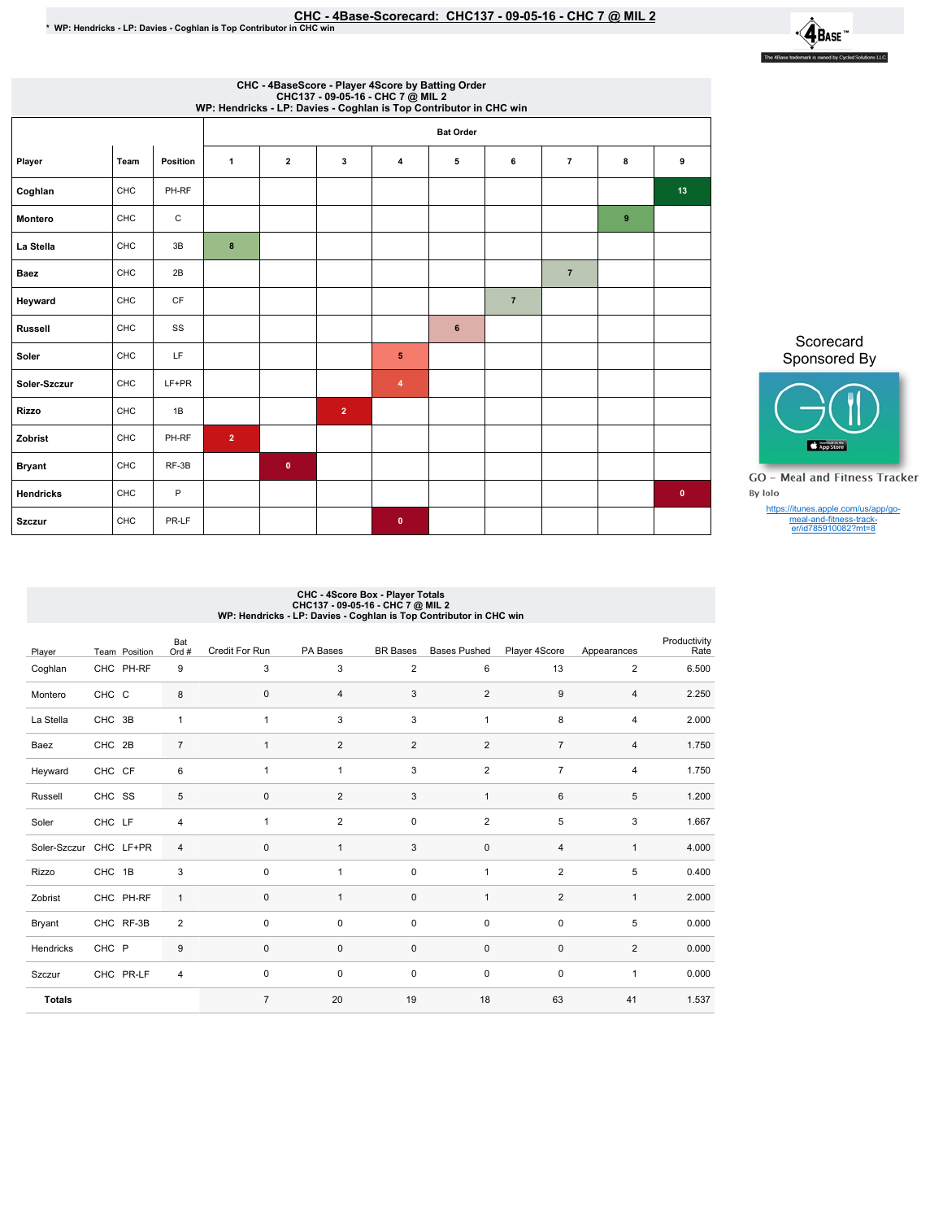## EHC - 4Base-Scorecard: CHC137 - 09-05-16 - CHC 7 @ MIL 2<br>\* WP: Hendricks - LP: Davies - Coghlan is Top Contributor in CHC win

 $\cdot \mathbf{Q}_{\text{Base}}$ The 4Base trademark is owned by Cycled Solutions LLC.

|                  | CHC - 4BaseScore - Player 4Score by Batting Order<br>CHC137 - 09-05-16 - CHC 7 @ MIL 2<br>WP: Hendricks - LP: Davies - Coghlan is Top Contributor in CHC win |           |                |                |                |                |                  |                |                |   |           |  |  |  |  |
|------------------|--------------------------------------------------------------------------------------------------------------------------------------------------------------|-----------|----------------|----------------|----------------|----------------|------------------|----------------|----------------|---|-----------|--|--|--|--|
|                  |                                                                                                                                                              |           |                |                |                |                | <b>Bat Order</b> |                |                |   |           |  |  |  |  |
| Player           | Team                                                                                                                                                         | Position  | $\mathbf{1}$   | $\overline{2}$ | 3              | $\pmb{4}$      | 5                | 6              | $\overline{7}$ | 8 | 9         |  |  |  |  |
| Coghlan          | CHC                                                                                                                                                          | PH-RF     |                |                |                |                |                  |                |                |   | 13        |  |  |  |  |
| Montero          | CHC                                                                                                                                                          | С         |                |                |                |                |                  |                |                | 9 |           |  |  |  |  |
| La Stella        | CHC                                                                                                                                                          | 3B        | 8              |                |                |                |                  |                |                |   |           |  |  |  |  |
| <b>Baez</b>      | CHC                                                                                                                                                          | 2B        |                |                |                |                |                  |                | $\overline{7}$ |   |           |  |  |  |  |
| Heyward          | CHC                                                                                                                                                          | <b>CF</b> |                |                |                |                |                  | $\overline{7}$ |                |   |           |  |  |  |  |
| <b>Russell</b>   | CHC                                                                                                                                                          | SS        |                |                |                |                | 6                |                |                |   |           |  |  |  |  |
| Soler            | CHC                                                                                                                                                          | LF        |                |                |                | $\sqrt{5}$     |                  |                |                |   |           |  |  |  |  |
| Soler-Szczur     | CHC                                                                                                                                                          | LF+PR     |                |                |                | $\overline{4}$ |                  |                |                |   |           |  |  |  |  |
| Rizzo            | CHC                                                                                                                                                          | 1B        |                |                | $\overline{2}$ |                |                  |                |                |   |           |  |  |  |  |
| Zobrist          | CHC                                                                                                                                                          | PH-RF     | $\overline{2}$ |                |                |                |                  |                |                |   |           |  |  |  |  |
| <b>Bryant</b>    | CHC                                                                                                                                                          | $RF-3B$   |                | $\mathbf{0}$   |                |                |                  |                |                |   |           |  |  |  |  |
| <b>Hendricks</b> | CHC                                                                                                                                                          | P         |                |                |                |                |                  |                |                |   | $\bullet$ |  |  |  |  |
| <b>Szczur</b>    | CHC                                                                                                                                                          | PR-LF     |                |                |                | $\bullet$      |                  |                |                |   |           |  |  |  |  |

Scorecard Sponsored By



**GO** - Meal and Fitness Tracker By Iolo

https://itunes.apple.com/us/app/go-meal-and-fitness-track-er/id785910082?mt=8

# CHC - 4Score Box - Player Totals<br>CHC137 - 09-05-16<br>WP: Hendricks - LP: Davies - Coghlan is Top Contributor in CHC win

| Player        |        | Team Position | Bat<br>Ord #   | Credit For Run | PA Bases       | <b>BR</b> Bases | <b>Bases Pushed</b> | Player 4Score  | Appearances    | Productivity<br>Rate |
|---------------|--------|---------------|----------------|----------------|----------------|-----------------|---------------------|----------------|----------------|----------------------|
| Coghlan       |        | CHC PH-RF     | 9              | 3              | 3              | $\overline{2}$  | 6                   | 13             | $\overline{2}$ | 6.500                |
| Montero       | CHC C  |               | 8              | 0              | 4              | 3               | $\overline{2}$      | 9              | 4              | 2.250                |
| La Stella     | CHC 3B |               | $\mathbf{1}$   | $\mathbf{1}$   | 3              | 3               | $\mathbf{1}$        | 8              | 4              | 2.000                |
| Baez          | CHC 2B |               | $\overline{7}$ | $\mathbf{1}$   | $\overline{2}$ | $\overline{2}$  | $\overline{2}$      | $\overline{7}$ | 4              | 1.750                |
| Heyward       | CHC CF |               | 6              | 1              | $\mathbf{1}$   | 3               | $\overline{2}$      | $\overline{7}$ | 4              | 1.750                |
| Russell       | CHC SS |               | 5              | $\mathbf 0$    | $\overline{2}$ | 3               | $\mathbf{1}$        | 6              | 5              | 1.200                |
| Soler         | CHC LF |               | 4              | 1              | $\overline{2}$ | $\mathbf 0$     | $\overline{2}$      | 5              | 3              | 1.667                |
| Soler-Szczur  |        | CHC LF+PR     | 4              | $\mathbf 0$    | $\mathbf{1}$   | 3               | 0                   | 4              | $\mathbf{1}$   | 4.000                |
| Rizzo         | CHC 1B |               | 3              | 0              | 1              | $\pmb{0}$       | 1                   | $\overline{2}$ | 5              | 0.400                |
| Zobrist       |        | CHC PH-RF     | $\mathbf{1}$   | 0              | $\mathbf{1}$   | $\mathbf 0$     | $\mathbf{1}$        | $\overline{2}$ | $\mathbf{1}$   | 2.000                |
| Bryant        |        | CHC RF-3B     | $\overline{2}$ | $\mathbf 0$    | $\mathbf 0$    | $\mathbf 0$     | $\mathbf 0$         | $\mathbf 0$    | 5              | 0.000                |
| Hendricks     | CHC P  |               | 9              | $\mathbf 0$    | 0              | 0               | 0                   | $\mathbf 0$    | $\overline{2}$ | 0.000                |
| Szczur        |        | CHC PR-LF     | $\overline{4}$ | 0              | 0              | $\pmb{0}$       | $\pmb{0}$           | $\pmb{0}$      | $\mathbf{1}$   | 0.000                |
| <b>Totals</b> |        |               |                | $\overline{7}$ | 20             | 19              | 18                  | 63             | 41             | 1.537                |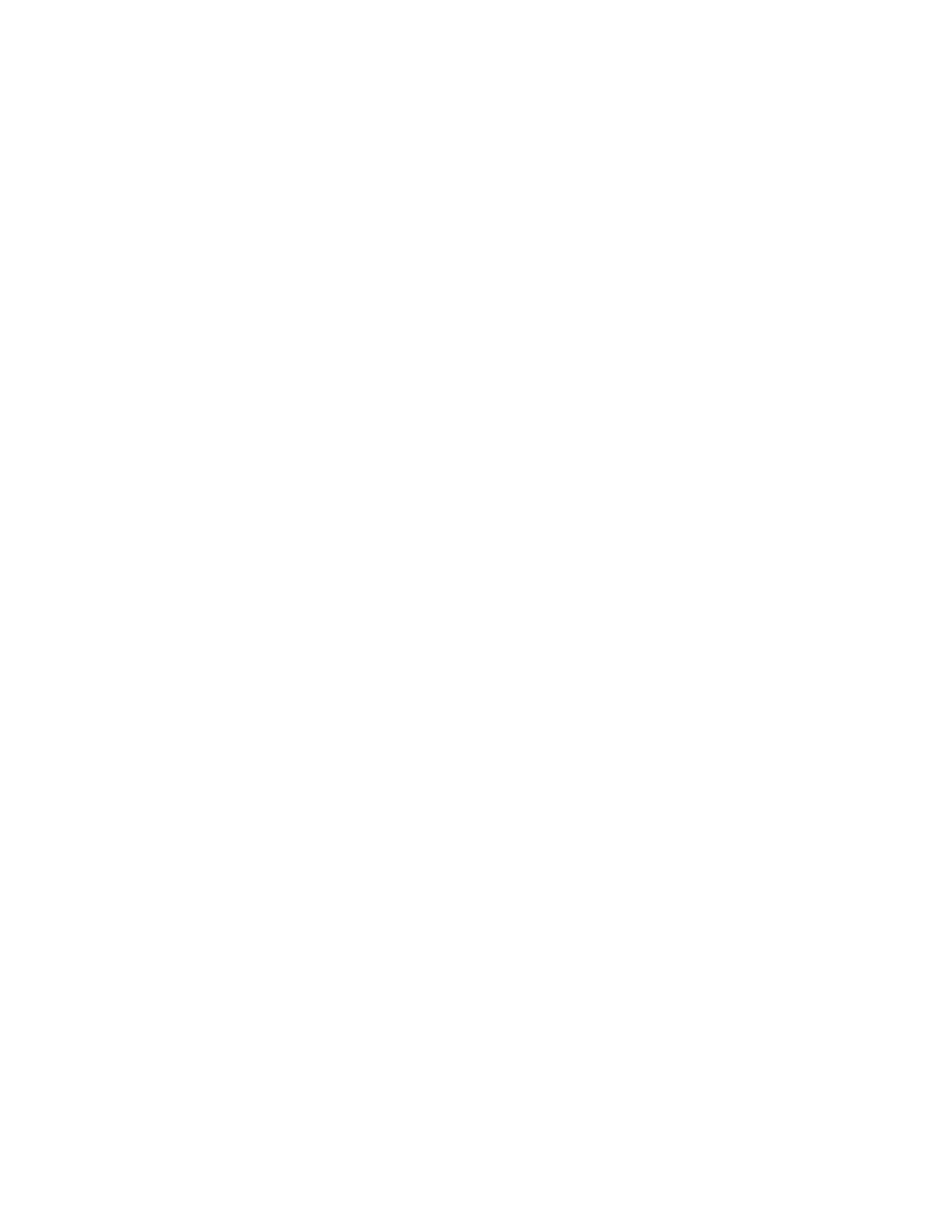|               | & + & %DVH6FRUH 300 HU 6FRUHE \%DWLQJ 2 UGHU<br>$8 + 8$<br>$8+8$ # 0,/<br>: 3 + HOGUENV / 3 'DYLHV & RJKODQ LV 7RS & ROMMEXWRULQ & + & ZLQ |                              |  |           |  |  |  |  |  |  |  |  |  |  |
|---------------|--------------------------------------------------------------------------------------------------------------------------------------------|------------------------------|--|-----------|--|--|--|--|--|--|--|--|--|--|
|               |                                                                                                                                            |                              |  | %DW2 UGHU |  |  |  |  |  |  |  |  |  |  |
| 300 HU        | 7HDP                                                                                                                                       | 3 RVLWIRQ                    |  |           |  |  |  |  |  |  |  |  |  |  |
| & RJ KODQ     | $8 + 8$                                                                                                                                    | $3+5)$                       |  |           |  |  |  |  |  |  |  |  |  |  |
| 0 RQMMUR      | $8 + 8$                                                                                                                                    | &                            |  |           |  |  |  |  |  |  |  |  |  |  |
| /D6WKOD       | $8 + 8$                                                                                                                                    | $\%$                         |  |           |  |  |  |  |  |  |  |  |  |  |
| %DH           | $8 + 8$                                                                                                                                    | $\%$                         |  |           |  |  |  |  |  |  |  |  |  |  |
| $+HZDUS$      | $8 + 8$                                                                                                                                    | &)                           |  |           |  |  |  |  |  |  |  |  |  |  |
| 5 XVVHO       | $8 + 8$                                                                                                                                    | 66                           |  |           |  |  |  |  |  |  |  |  |  |  |
| 6ROHU         | $8 + 8$                                                                                                                                    | $\left( \frac{1}{2} \right)$ |  |           |  |  |  |  |  |  |  |  |  |  |
| 6ROHU6] F  XU | $8 + 8$                                                                                                                                    | 1) 35                        |  |           |  |  |  |  |  |  |  |  |  |  |
| 54]R          | $8 + 8$                                                                                                                                    | %                            |  |           |  |  |  |  |  |  |  |  |  |  |
| $=$ REULWV    | $8 + 8$                                                                                                                                    | $3+5)$                       |  |           |  |  |  |  |  |  |  |  |  |  |
| %U DOW        | $8 + 8$                                                                                                                                    | 5) %                         |  |           |  |  |  |  |  |  |  |  |  |  |
| + HQGUFNV     | $8 + 8$                                                                                                                                    | $\mathbf{3}$                 |  |           |  |  |  |  |  |  |  |  |  |  |
| 6] FJ XU      | $8 + 8$                                                                                                                                    | 35/                          |  |           |  |  |  |  |  |  |  |  |  |  |

#### 6 FRUHFDLG 6 SRQVRUHG%

<u>KWOSY WACHYDSSON FRP XYDSSJR</u><br>PHDODOGILWOHNYWOFN<br>HULG "PW"

|  | $8 + 8$ | 6FRUH%RI 30DN.HU7RWDOV |            |  |                                                                |  |
|--|---------|------------------------|------------|--|----------------------------------------------------------------|--|
|  | $8 + 8$ |                        | $8+8$ # 0. |  |                                                                |  |
|  |         |                        |            |  | : 3 + HOGULFNY / 3 'DYLHV & RJKODQLV 7RS&RO MLEXWRULQ& + & ZLQ |  |

| 30 MU                    |             | 7HDP 3RVMRQ | %DW<br>216 | & UHGLV) RU5 XQ | 3\$ %DMHV | %5 %DVHV | %DVHV3XVKHG 300\HU6FRUH | \$SSHDUDGFHV | 3 URGXFWNUW<br>5DM |
|--------------------------|-------------|-------------|------------|-----------------|-----------|----------|-------------------------|--------------|--------------------|
| & RJKODQ                 |             | $8+8$ 3+5)  |            |                 |           |          |                         |              |                    |
| 0 RQMUR                  | $8 + 8$ $8$ |             |            |                 |           |          |                         |              |                    |
| /D6WOD                   | $8 + 8$ %   |             |            |                 |           |          |                         |              |                    |
| %DH                      | $8 + 8$ %   |             |            |                 |           |          |                         |              |                    |
| + H ZDG                  | $8+8$ $8)$  |             |            |                 |           |          |                         |              |                    |
| 5 XVVHO                  | $&+866$     |             |            |                 |           |          |                         |              |                    |
| 6 ROHU                   | $8+8$ ()    |             |            |                 |           |          |                         |              |                    |
| 6RDU6] FJ XU & + & /) 35 |             |             |            |                 |           |          |                         |              |                    |
| $5$ $\uparrow$ ] R       | $8 + 8$ %   |             |            |                 |           |          |                         |              |                    |
| $=$ REUMV                |             | $8+8$ 3+5)  |            |                 |           |          |                         |              |                    |
| <b>%JJDQW</b>            |             | $8+8$ 5) %  |            |                 |           |          |                         |              |                    |
| + HQGUENV                | $8 + 8$ 3   |             |            |                 |           |          |                         |              |                    |
| 6] FJ XU                 |             | $&+&35/$    |            |                 |           |          |                         |              |                    |
| 7RWDOV                   |             |             |            |                 |           |          |                         |              |                    |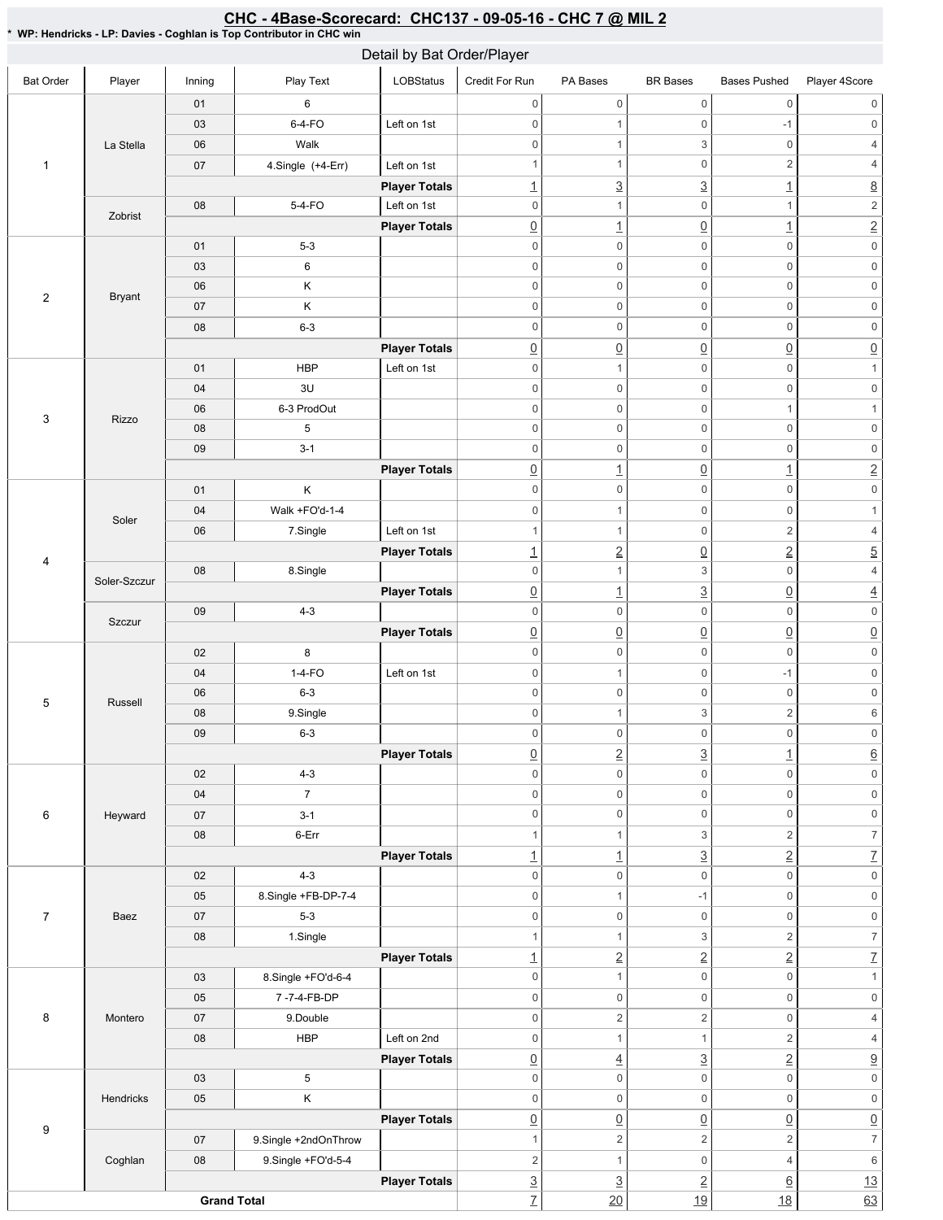#### \* WP: Hendricks - LP: Davies - Coghlan is Top Contributor in CHC win Bat Order | Player | Inning | PlayText | LOBStatus Credit For Run PA Bases BR Bases Bases Pushed Player 4Score 1 La Stella 01 6 03 6-4-FO Left on 1st 06 | Walk 07 | 4.Single (+4-Err) | Left on 1st **Player Totals** Zobrist 08 5-4-FO Left on 1st **Player Totals** 2 Bryant 01 5-3 03 6 06 K 07 K 08 6-3 **Player Totals** 3 Rizzo 01 **HBP** Left on 1st 04 3U 06 6-3 ProdOut 08 5 09 3-1 **Player Totals** 4 Soler 01 K 04 Walk + FO'd-1-4 06 7.Single Left on 1st **Player Totals** Soler-Szczur 08 | 8.Single **Player Totals** Szczur 09 4-3 **Player Totals** 5 Russell 02 8 04 | 1-4-FO Left on 1st 06 6-3 08 9.Single 09 6-3 **Player Totals** 6 Heyward 02 4-3 04 7 07 3-1 08 **6-Err Player Totals** 7 Baez 02 4-3 05 8.Single +FB-DP-7-4 07 5-3 08 | 1.Single **Player Totals** 8 Montero 03 8.Single +FO'd-6-4 05 7 -7-4-FB-DP 07 9.Double 08 HBP Left on 2nd **Player Totals** 9 Hendricks 03 5 05 K **Player Totals** Coghlan 07 9.Single +2ndOnThrow 08 9.Single +FO'd-5-4 **Player Totals** 0 0 0 0 0 0 0 1 0 -1 0 0 1 3 0 4 1  $\begin{array}{ccc} 1 & 0 & 2 & 4 \end{array}$  $\frac{1}{2}$   $\frac{3}{2}$   $\frac{1}{2}$   $\frac{8}{2}$ 0 1 0 1 2  $\boxed{0}$  1  $\boxed{0}$  1  $\boxed{1}$  2 0 0 0 0 0 0 0 0 0 0 0 0 0 0 0 0 0 0 0 0 0 0 0 0 0 0 0 0 0 0  $\overline{0}$   $\overline{0}$   $\overline{0}$   $\overline{0}$   $\overline{0}$   $\overline{0}$   $\overline{0}$ 0 0 1 0 1 0 0 0 0 0 0  $0 \qquad 0 \qquad 0 \qquad 1 \qquad 1$ 0 0 0 0 0 0 0 0 0 0 0 0  $\boxed{0}$  1  $\boxed{0}$  1  $\boxed{1}$  2 0 0 0 0 0 0 0 0 1 0 1 1  $\begin{array}{ccc} 1 & 0 & 2 & 4 \end{array}$ 1 2 0 2 5 0 1 3 0 4 0 1 3 0 4 0 0 0 0 0 0  $\overline{0}$   $\overline{0}$   $\overline{0}$   $\overline{0}$   $\overline{0}$   $\overline{0}$   $\overline{0}$ 0 0 0 0 0 0 0 1 0 -1 0 0 0 0 0 0 0 0 1 3 2 6 0 0 0 0 0 0  $\boxed{0}$   $\boxed{2}$   $\boxed{3}$   $\boxed{1}$   $\boxed{6}$ 0 0 0 0 0 0 0 0 0 0 0 0 0 0 0 0 0 0 1 1 3 2 7 1 1 3 2 7 0 0 0 0 0 0 0 1 -1 0 0 0 0 0 0 0 0 1 1 3 2 7 1 2 2 2 7 0 0 0 1 0 0 0 0 0 0  $0 \qquad \qquad 2 \qquad \qquad 2 \qquad \qquad 0 \qquad \qquad 4$ 0 1 1 2 4 0 4 3 2 9 0 0 0 0 0 0 0 0 0 0 0 0  $\overline{0}$   $\overline{0}$   $\overline{0}$   $\overline{0}$   $\overline{0}$   $\overline{0}$   $\overline{0}$ 1 2  $2$  2  $7$ 2 1 0 4 6  $\frac{3}{2}$   $\frac{2}{2}$   $\frac{6}{2}$   $\frac{13}{2}$ Detail by Bat Order/Player

<u>7</u> 20 <del>19</del> 20 20

**Grand Total** 

### CHC - 4Base-Scorecard: CHC137 - 09-05-16 - CHC 7 @ MIL 2